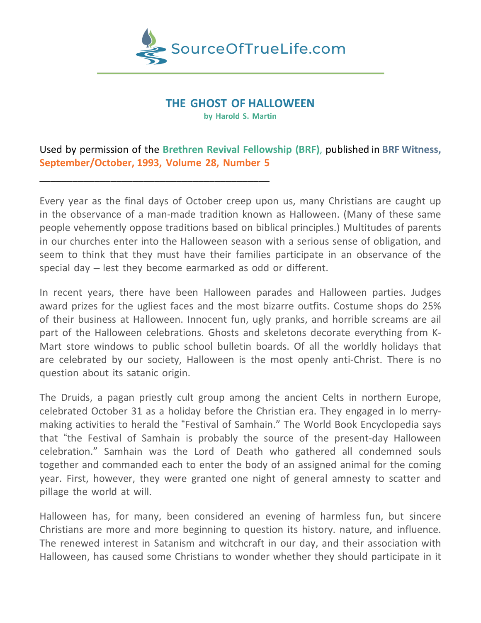

## **THE GHOST OF HALLOWEEN**

**by Harold S. Martin**

# Used by permission of the **Brethren Revival Fellowship (BRF)**, published in **BRF Witness, September/October, 1993, Volume 28, Number 5**

\_\_\_\_\_\_\_\_\_\_\_\_\_\_\_\_\_\_\_\_\_\_\_\_\_\_\_\_\_\_\_\_\_\_\_\_\_\_\_\_\_\_

Every year as the final days of October creep upon us, many Christians are caught up in the observance of a man-made tradition known as Halloween. (Many of these same people vehemently oppose traditions based on biblical principles.) Multitudes of parents in our churches enter into the Halloween season with a serious sense of obligation, and seem to think that they must have their families participate in an observance of the special day – lest they become earmarked as odd or different.

In recent years, there have been Halloween parades and Halloween parties. Judges award prizes for the ugliest faces and the most bizarre outfits. Costume shops do 25% of their business at Halloween. Innocent fun, ugly pranks, and horrible screams are ail part of the Halloween celebrations. Ghosts and skeletons decorate everything from K-Mart store windows to public school bulletin boards. Of all the worldly holidays that are celebrated by our society, Halloween is the most openly anti-Christ. There is no question about its satanic origin.

The Druids, a pagan priestly cult group among the ancient Celts in northern Europe, celebrated October 31 as a holiday before the Christian era. They engaged in lo merrymaking activities to herald the "Festival of Samhain." The World Book Encyclopedia says that "the Festival of Samhain is probably the source of the present-day Halloween celebration." Samhain was the Lord of Death who gathered all condemned souls together and commanded each to enter the body of an assigned animal for the coming year. First, however, they were granted one night of general amnesty to scatter and pillage the world at will.

Halloween has, for many, been considered an evening of harmless fun, but sincere Christians are more and more beginning to question its history. nature, and influence. The renewed interest in Satanism and witchcraft in our day, and their association with Halloween, has caused some Christians to wonder whether they should participate in it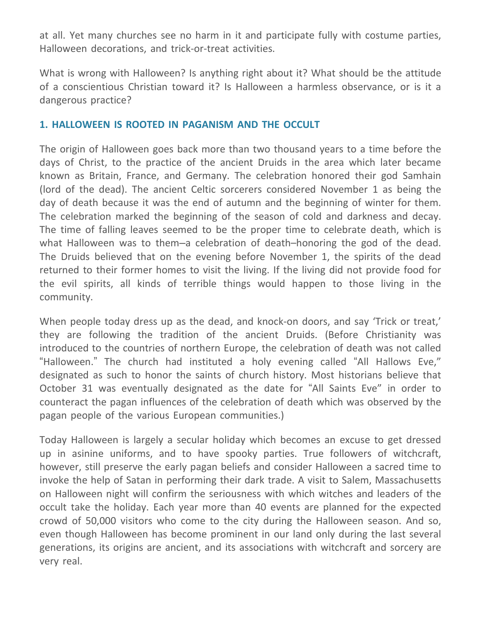at all. Yet many churches see no harm in it and participate fully with costume parties, Halloween decorations, and trick-or-treat activities.

What is wrong with Halloween? Is anything right about it? What should be the attitude of a conscientious Christian toward it? Is Halloween a harmless observance, or is it a dangerous practice?

### **1. HALLOWEEN IS ROOTED IN PAGANISM AND THE OCCULT**

The origin of Halloween goes back more than two thousand years to a time before the days of Christ, to the practice of the ancient Druids in the area which later became known as Britain, France, and Germany. The celebration honored their god Samhain (lord of the dead). The ancient Celtic sorcerers considered November 1 as being the day of death because it was the end of autumn and the beginning of winter for them. The celebration marked the beginning of the season of cold and darkness and decay. The time of falling leaves seemed to be the proper time to celebrate death, which is what Halloween was to them–a celebration of death–honoring the god of the dead. The Druids believed that on the evening before November 1, the spirits of the dead returned to their former homes to visit the living. If the living did not provide food for the evil spirits, all kinds of terrible things would happen to those living in the community.

When people today dress up as the dead, and knock-on doors, and say 'Trick or treat,' they are following the tradition of the ancient Druids. (Before Christianity was introduced to the countries of northern Europe, the celebration of death was not called "Halloween." The church had instituted a holy evening called "All Hallows Eve," designated as such to honor the saints of church history. Most historians believe that October 31 was eventually designated as the date for "All Saints Eve" in order to counteract the pagan influences of the celebration of death which was observed by the pagan people of the various European communities.)

Today Halloween is largely a secular holiday which becomes an excuse to get dressed up in asinine uniforms, and to have spooky parties. True followers of witchcraft, however, still preserve the early pagan beliefs and consider Halloween a sacred time to invoke the help of Satan in performing their dark trade. A visit to Salem, Massachusetts on Halloween night will confirm the seriousness with which witches and leaders of the occult take the holiday. Each year more than 40 events are planned for the expected crowd of 50,000 visitors who come to the city during the Halloween season. And so, even though Halloween has become prominent in our land only during the last several generations, its origins are ancient, and its associations with witchcraft and sorcery are very real.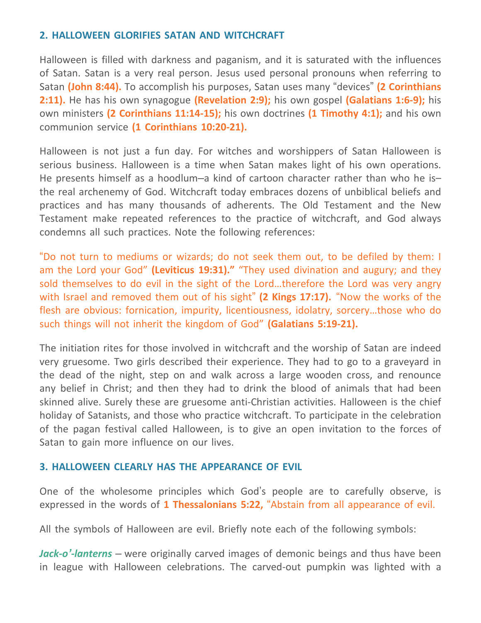#### **2. HALLOWEEN GLORIFIES SATAN AND WITCHCRAFT**

Halloween is filled with darkness and paganism, and it is saturated with the influences of Satan. Satan is a very real person. Jesus used personal pronouns when referring to Satan **(John 8:44).** To accomplish his purposes, Satan uses many "devices" **(2 Corinthians 2:11).** He has his own synagogue **(Revelation 2:9);** his own gospel **(Galatians 1:6-9);** his own ministers **(2 Corinthians 11:14-15);** his own doctrines **(1 Timothy 4:1);** and his own communion service **(1 Corinthians 10:20-21).**

Halloween is not just a fun day. For witches and worshippers of Satan Halloween is serious business. Halloween is a time when Satan makes light of his own operations. He presents himself as a hoodlum–a kind of cartoon character rather than who he is– the real archenemy of God. Witchcraft today embraces dozens of unbiblical beliefs and practices and has many thousands of adherents. The Old Testament and the New Testament make repeated references to the practice of witchcraft, and God always condemns all such practices. Note the following references:

"Do not turn to mediums or wizards; do not seek them out, to be defiled by them: I am the Lord your God" **(Leviticus 19:31)."** "They used divination and augury; and they sold themselves to do evil in the sight of the Lord…therefore the Lord was very angry with Israel and removed them out of his sight" **(2 Kings 17:17).** "Now the works of the flesh are obvious: fornication, impurity, licentiousness, idolatry, sorcery…those who do such things will not inherit the kingdom of God" **(Galatians 5:19-21).**

The initiation rites for those involved in witchcraft and the worship of Satan are indeed very gruesome. Two girls described their experience. They had to go to a graveyard in the dead of the night, step on and walk across a large wooden cross, and renounce any belief in Christ; and then they had to drink the blood of animals that had been skinned alive. Surely these are gruesome anti-Christian activities. Halloween is the chief holiday of Satanists, and those who practice witchcraft. To participate in the celebration of the pagan festival called Halloween, is to give an open invitation to the forces of Satan to gain more influence on our lives.

#### **3. HALLOWEEN CLEARLY HAS THE APPEARANCE OF EVIL**

One of the wholesome principles which God's people are to carefully observe, is expressed in the words of **1 Thessalonians 5:22,** "Abstain from all appearance of evil.

All the symbols of Halloween are evil. Briefly note each of the following symbols:

*Jack-o'-lanterns* – were originally carved images of demonic beings and thus have been in league with Halloween celebrations. The carved-out pumpkin was lighted with a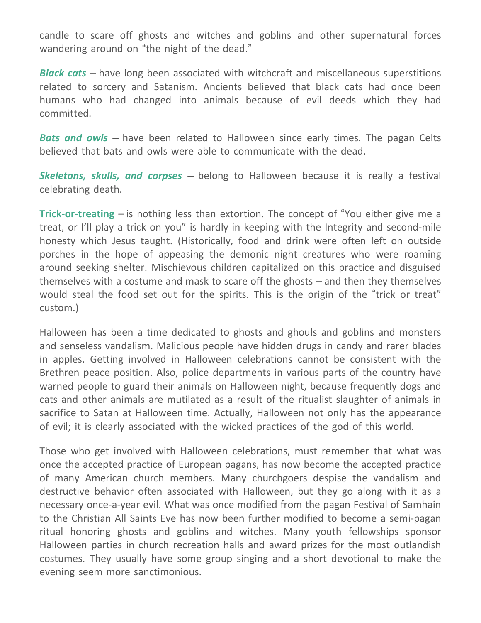candle to scare off ghosts and witches and goblins and other supernatural forces wandering around on "the night of the dead."

*Black cats* – have long been associated with witchcraft and miscellaneous superstitions related to sorcery and Satanism. Ancients believed that black cats had once been humans who had changed into animals because of evil deeds which they had committed.

*Bats and owls* – have been related to Halloween since early times. The pagan Celts believed that bats and owls were able to communicate with the dead.

*Skeletons, skulls, and corpses* – belong to Halloween because it is really a festival celebrating death.

**Trick-or-treating** – is nothing less than extortion. The concept of "You either give me a treat, or I'll play a trick on you" is hardly in keeping with the Integrity and second-mile honesty which Jesus taught. (Historically, food and drink were often left on outside porches in the hope of appeasing the demonic night creatures who were roaming around seeking shelter. Mischievous children capitalized on this practice and disguised themselves with a costume and mask to scare off the ghosts – and then they themselves would steal the food set out for the spirits. This is the origin of the "trick or treat" custom.)

Halloween has been a time dedicated to ghosts and ghouls and goblins and monsters and senseless vandalism. Malicious people have hidden drugs in candy and rarer blades in apples. Getting involved in Halloween celebrations cannot be consistent with the Brethren peace position. Also, police departments in various parts of the country have warned people to guard their animals on Halloween night, because frequently dogs and cats and other animals are mutilated as a result of the ritualist slaughter of animals in sacrifice to Satan at Halloween time. Actually, Halloween not only has the appearance of evil; it is clearly associated with the wicked practices of the god of this world.

Those who get involved with Halloween celebrations, must remember that what was once the accepted practice of European pagans, has now become the accepted practice of many American church members. Many churchgoers despise the vandalism and destructive behavior often associated with Halloween, but they go along with it as a necessary once-a-year evil. What was once modified from the pagan Festival of Samhain to the Christian All Saints Eve has now been further modified to become a semi-pagan ritual honoring ghosts and goblins and witches. Many youth fellowships sponsor Halloween parties in church recreation halls and award prizes for the most outlandish costumes. They usually have some group singing and a short devotional to make the evening seem more sanctimonious.